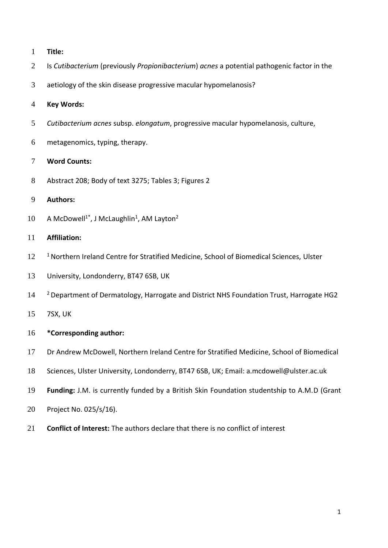- **Title:**
- Is *Cutibacterium* (previously *Propionibacterium*) *acnes* a potential pathogenic factor in the
- aetiology of the skin disease progressive macular hypomelanosis?

# **Key Words:**

- *Cutibacterium acnes* subsp. *elongatum*, progressive macular hypomelanosis, culture,
- metagenomics, typing, therapy.

# **Word Counts:**

Abstract 208; Body of text 3275; Tables 3; Figures 2

# **Authors:**

10 A McDowell<sup>1\*</sup>, J McLaughlin<sup>1</sup>, AM Layton<sup>2</sup>

# **Affiliation:**

- 12<sup>1</sup> Northern Ireland Centre for Stratified Medicine, School of Biomedical Sciences, Ulster
- University, Londonderry, BT47 6SB, UK
- <sup>2</sup> Department of Dermatology, Harrogate and District NHS Foundation Trust, Harrogate HG2
- 7SX, UK

# **\*Corresponding author:**

- Dr Andrew McDowell, Northern Ireland Centre for Stratified Medicine, School of Biomedical
- Sciences, Ulster University, Londonderry, BT47 6SB, UK; Email: a.mcdowell@ulster.ac.uk
- **Funding:** J.M. is currently funded by a British Skin Foundation studentship to A.M.D (Grant
- Project No. 025/s/16).
- **Conflict of Interest:** The authors declare that there is no conflict of interest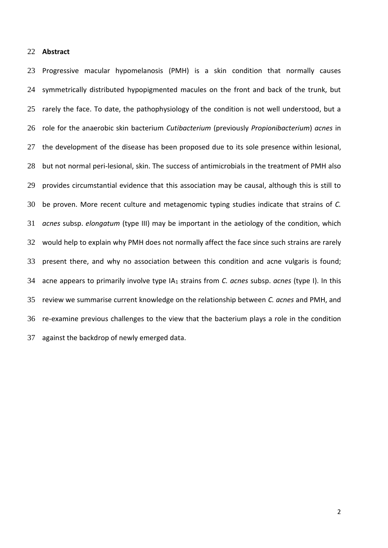# **Abstract**

 Progressive macular hypomelanosis (PMH) is a skin condition that normally causes symmetrically distributed hypopigmented macules on the front and back of the trunk, but 25 rarely the face. To date, the pathophysiology of the condition is not well understood, but a role for the anaerobic skin bacterium *Cutibacterium* (previously *Propionibacterium*) *acnes* in the development of the disease has been proposed due to its sole presence within lesional, but not normal peri-lesional, skin. The success of antimicrobials in the treatment of PMH also provides circumstantial evidence that this association may be causal, although this is still to be proven. More recent culture and metagenomic typing studies indicate that strains of *C. acnes* subsp. *elongatum* (type III) may be important in the aetiology of the condition, which would help to explain why PMH does not normally affect the face since such strains are rarely present there, and why no association between this condition and acne vulgaris is found; acne appears to primarily involve type IA<sup>1</sup> strains from *C. acnes* subsp. *acnes* (type I). In this review we summarise current knowledge on the relationship between *C. acnes* and PMH, and re-examine previous challenges to the view that the bacterium plays a role in the condition against the backdrop of newly emerged data.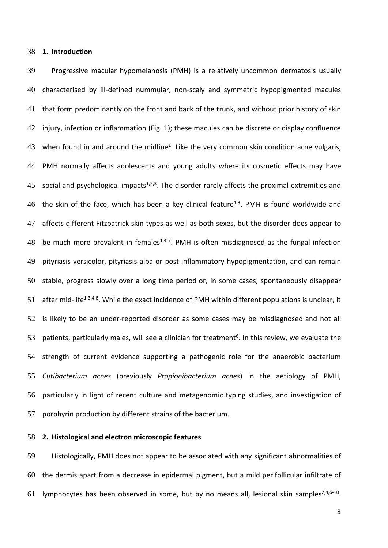# **1. Introduction**

 Progressive macular hypomelanosis (PMH) is a relatively uncommon dermatosis usually characterised by ill-defined nummular, non-scaly and symmetric hypopigmented macules that form predominantly on the front and back of the trunk, and without prior history of skin injury, infection or inflammation (Fig. 1); these macules can be discrete or display confluence 43 when found in and around the midline<sup>1</sup>. Like the very common skin condition acne vulgaris, PMH normally affects adolescents and young adults where its cosmetic effects may have 45 social and psychological impacts<sup>1,2,3</sup>. The disorder rarely affects the proximal extremities and 46 the skin of the face, which has been a key clinical feature<sup>1,3</sup>. PMH is found worldwide and affects different Fitzpatrick skin types as well as both sexes, but the disorder does appear to 48 be much more prevalent in females<sup>1,4-7</sup>. PMH is often misdiagnosed as the fungal infection pityriasis versicolor, pityriasis alba or post-inflammatory hypopigmentation, and can remain stable, progress slowly over a long time period or, in some cases, spontaneously disappear 51 after mid-life<sup>1,3,4,8</sup>. While the exact incidence of PMH within different populations is unclear, it is likely to be an under-reported disorder as some cases may be misdiagnosed and not all 53 patients, particularly males, will see a clinician for treatment<sup>6</sup>. In this review, we evaluate the strength of current evidence supporting a pathogenic role for the anaerobic bacterium *Cutibacterium acnes* (previously *Propionibacterium acnes*) in the aetiology of PMH, particularly in light of recent culture and metagenomic typing studies, and investigation of porphyrin production by different strains of the bacterium.

# **2. Histological and electron microscopic features**

 Histologically, PMH does not appear to be associated with any significant abnormalities of the dermis apart from a decrease in epidermal pigment, but a mild perifollicular infiltrate of 61 lymphocytes has been observed in some, but by no means all, lesional skin samples<sup>2,4,6-10</sup>.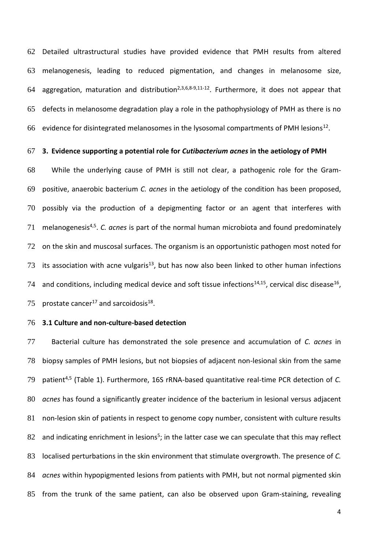Detailed ultrastructural studies have provided evidence that PMH results from altered melanogenesis, leading to reduced pigmentation, and changes in melanosome size, 64 aggregation, maturation and distribution<sup>2,3,6,8-9,11-12</sup>. Furthermore, it does not appear that defects in melanosome degradation play a role in the pathophysiology of PMH as there is no 66 evidence for disintegrated melanosomes in the lysosomal compartments of PMH lesions<sup>12</sup>.

#### **3. Evidence supporting a potential role for** *Cutibacterium acnes* **in the aetiology of PMH**

 While the underlying cause of PMH is still not clear, a pathogenic role for the Gram- positive, anaerobic bacterium *C. acnes* in the aetiology of the condition has been proposed, possibly via the production of a depigmenting factor or an agent that interferes with 71 melanogenesis<sup>4,5</sup>. *C. acnes* is part of the normal human microbiota and found predominately 72 on the skin and muscosal surfaces. The organism is an opportunistic pathogen most noted for 73 its association with acne vulgaris<sup>13</sup>, but has now also been linked to other human infections 74 and conditions, including medical device and soft tissue infections<sup>14,15</sup>, cervical disc disease<sup>16</sup>, 75 prostate cancer<sup>17</sup> and sarcoidosis<sup>18</sup>.

## **3.1 Culture and non-culture-based detection**

 Bacterial culture has demonstrated the sole presence and accumulation of *C. acnes* in biopsy samples of PMH lesions, but not biopsies of adjacent non-lesional skin from the same patient4,5 (Table 1). Furthermore, 16S rRNA-based quantitative real-time PCR detection of *C. acnes* has found a significantly greater incidence of the bacterium in lesional versus adjacent non-lesion skin of patients in respect to genome copy number, consistent with culture results 82 and indicating enrichment in lesions<sup>5</sup>; in the latter case we can speculate that this may reflect localised perturbations in the skin environment that stimulate overgrowth. The presence of *C. acnes* within hypopigmented lesions from patients with PMH, but not normal pigmented skin from the trunk of the same patient, can also be observed upon Gram-staining, revealing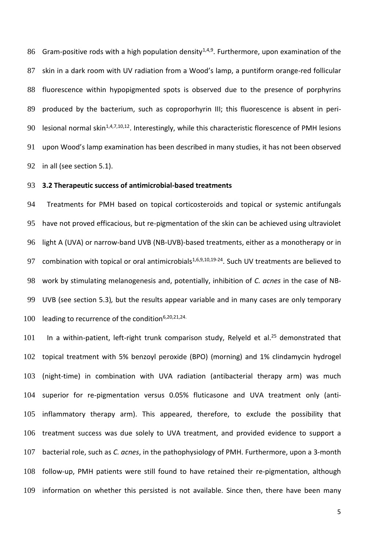86 Gram-positive rods with a high population density<sup>1,4,9</sup>. Furthermore, upon examination of the skin in a dark room with UV radiation from a Wood's lamp, a puntiform orange-red follicular fluorescence within hypopigmented spots is observed due to the presence of porphyrins 89 produced by the bacterium, such as coproporhyrin III; this fluorescence is absent in peri-90 lesional normal skin<sup>1,4,7,10,12</sup>. Interestingly, while this characteristic florescence of PMH lesions upon Wood's lamp examination has been described in many studies, it has not been observed in all (see section 5.1).

# **3.2 Therapeutic success of antimicrobial-based treatments**

 Treatments for PMH based on topical corticosteroids and topical or systemic antifungals have not proved efficacious, but re-pigmentation of the skin can be achieved using ultraviolet light A (UVA) or narrow-band UVB (NB-UVB)-based treatments, either as a monotherapy or in 97 combination with topical or oral antimicrobials<sup>1,6,9,10,19-24</sup>. Such UV treatments are believed to work by stimulating melanogenesis and, potentially, inhibition of *C. acnes* in the case of NB- UVB (see section 5.3)*,* but the results appear variable and in many cases are only temporary 100 leading to recurrence of the condition $6,20,21,24$ .

 In a within-patient, left-right trunk comparison study, Relyeld et al.<sup>25</sup> demonstrated that topical treatment with 5% benzoyl peroxide (BPO) (morning) and 1% clindamycin hydrogel (night-time) in combination with UVA radiation (antibacterial therapy arm) was much superior for re-pigmentation versus 0.05% fluticasone and UVA treatment only (anti- inflammatory therapy arm). This appeared, therefore, to exclude the possibility that treatment success was due solely to UVA treatment, and provided evidence to support a bacterial role, such as *C. acnes*, in the pathophysiology of PMH. Furthermore, upon a 3-month follow-up, PMH patients were still found to have retained their re-pigmentation, although information on whether this persisted is not available. Since then, there have been many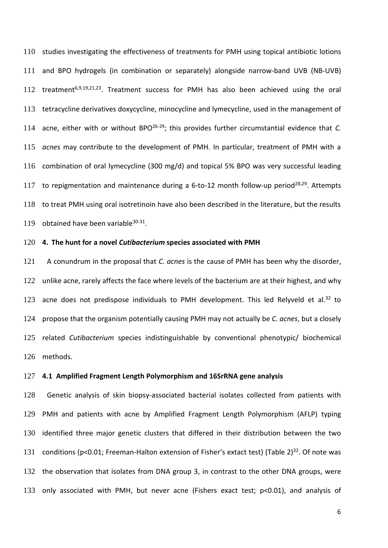studies investigating the effectiveness of treatments for PMH using topical antibiotic lotions and BPO hydrogels (in combination or separately) alongside narrow-band UVB (NB-UVB) 112 treatment<sup>6,9,19,21,23</sup>. Treatment success for PMH has also been achieved using the oral tetracycline derivatives doxycycline, minocycline and lymecycline, used in the management of 114 acne, either with or without BPO<sup>26-29</sup>; this provides further circumstantial evidence that *C*. *acnes* may contribute to the development of PMH. In particular, treatment of PMH with a combination of oral lymecycline (300 mg/d) and topical 5% BPO was very successful leading 117 to repigmentation and maintenance during a 6-to-12 month follow-up period<sup>28,29</sup>. Attempts to treat PMH using oral isotretinoin have also been described in the literature, but the results 119 obtained have been variable $30-31$ .

# **4. The hunt for a novel** *Cutibacterium* **species associated with PMH**

 A conundrum in the proposal that *C. acnes* is the cause of PMH has been why the disorder, 122 unlike acne, rarely affects the face where levels of the bacterium are at their highest, and why 123 acne does not predispose individuals to PMH development. This led Relyveld et al.<sup>32</sup> to propose that the organism potentially causing PMH may not actually be *C. acnes*, but a closely related *Cutibacterium* species indistinguishable by conventional phenotypic/ biochemical methods.

### **4.1 Amplified Fragment Length Polymorphism and 16SrRNA gene analysis**

 Genetic analysis of skin biopsy-associated bacterial isolates collected from patients with PMH and patients with acne by Amplified Fragment Length Polymorphism (AFLP) typing identified three major genetic clusters that differed in their distribution between the two 131 conditions (p<0.01; Freeman-Halton extension of Fisher's extact test) (Table  $2^{32}$ . Of note was the observation that isolates from DNA group 3, in contrast to the other DNA groups, were only associated with PMH, but never acne (Fishers exact test; p<0.01), and analysis of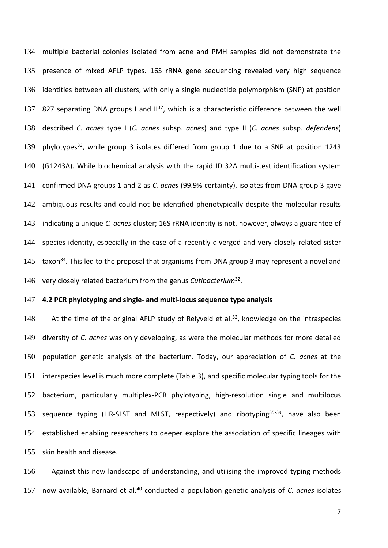multiple bacterial colonies isolated from acne and PMH samples did not demonstrate the presence of mixed AFLP types. 16S rRNA gene sequencing revealed very high sequence identities between all clusters, with only a single nucleotide polymorphism (SNP) at position 137 827 separating DNA groups I and  $II^{32}$ , which is a characteristic difference between the well described *C. acnes* type I (*C. acnes* subsp. *acnes*) and type II (*C. acnes* subsp. *defendens*) 139 phylotypes<sup>33</sup>, while group 3 isolates differed from group 1 due to a SNP at position 1243 (G1243A). While biochemical analysis with the rapid ID 32A multi-test identification system confirmed DNA groups 1 and 2 as *C. acnes* (99.9% certainty), isolates from DNA group 3 gave 142 ambiguous results and could not be identified phenotypically despite the molecular results indicating a unique *C. acnes* cluster; 16S rRNA identity is not, however, always a guarantee of species identity, especially in the case of a recently diverged and very closely related sister  $\pm$  taxon<sup>34</sup>. This led to the proposal that organisms from DNA group 3 may represent a novel and 146 very closely related bacterium from the genus *Cutibacterium*<sup>32</sup>.

# **4.2 PCR phylotyping and single- and multi-locus sequence type analysis**

148 At the time of the original AFLP study of Relyveld et al.<sup>32</sup>, knowledge on the intraspecies diversity of *C. acnes* was only developing, as were the molecular methods for more detailed population genetic analysis of the bacterium. Today, our appreciation of *C. acnes* at the interspecies level is much more complete (Table 3), and specific molecular typing tools for the bacterium, particularly multiplex-PCR phylotyping, high-resolution single and multilocus 153 sequence typing (HR-SLST and MLST, respectively) and ribotyping $35-39$ , have also been established enabling researchers to deeper explore the association of specific lineages with skin health and disease.

 Against this new landscape of understanding, and utilising the improved typing methods 157 now available, Barnard et al.<sup>40</sup> conducted a population genetic analysis of *C. acnes* isolates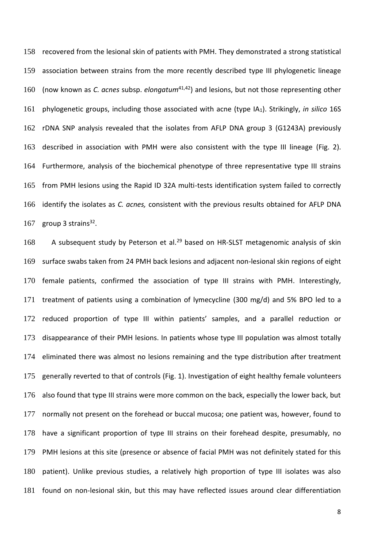recovered from the lesional skin of patients with PMH. They demonstrated a strong statistical association between strains from the more recently described type III phylogenetic lineage 160 (now known as *C. acnes* subsp. *elongatum*<sup>41,42</sup>) and lesions, but not those representing other phylogenetic groups, including those associated with acne (type IA1). Strikingly, *in silico* 16S rDNA SNP analysis revealed that the isolates from AFLP DNA group 3 (G1243A) previously described in association with PMH were also consistent with the type III lineage (Fig. 2). Furthermore, analysis of the biochemical phenotype of three representative type III strains from PMH lesions using the Rapid ID 32A multi-tests identification system failed to correctly identify the isolates as *C. acnes,* consistent with the previous results obtained for AFLP DNA 167 group 3 strains.

168 A subsequent study by Peterson et al.<sup>29</sup> based on HR-SLST metagenomic analysis of skin surface swabs taken from 24 PMH back lesions and adjacent non-lesional skin regions of eight female patients, confirmed the association of type III strains with PMH. Interestingly, treatment of patients using a combination of lymecycline (300 mg/d) and 5% BPO led to a reduced proportion of type III within patients' samples, and a parallel reduction or disappearance of their PMH lesions. In patients whose type III population was almost totally eliminated there was almost no lesions remaining and the type distribution after treatment generally reverted to that of controls (Fig. 1). Investigation of eight healthy female volunteers also found that type III strains were more common on the back, especially the lower back, but normally not present on the forehead or buccal mucosa; one patient was, however, found to have a significant proportion of type III strains on their forehead despite, presumably, no PMH lesions at this site (presence or absence of facial PMH was not definitely stated for this patient). Unlike previous studies, a relatively high proportion of type III isolates was also found on non-lesional skin, but this may have reflected issues around clear differentiation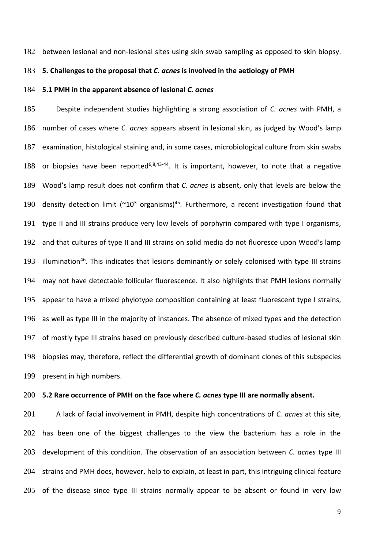between lesional and non-lesional sites using skin swab sampling as opposed to skin biopsy.

# **5. Challenges to the proposal that** *C. acnes* **is involved in the aetiology of PMH**

## **5.1 PMH in the apparent absence of lesional** *C. acnes*

 Despite independent studies highlighting a strong association of *C. acnes* with PMH, a number of cases where *C. acnes* appears absent in lesional skin, as judged by Wood's lamp examination, histological staining and, in some cases, microbiological culture from skin swabs 188 or biopsies have been reported<sup>6,8,43-44</sup>. It is important, however, to note that a negative Wood's lamp result does not confirm that *C. acnes* is absent, only that levels are below the 190 density detection limit ( $\sim 10^3$  organisms)<sup>45</sup>. Furthermore, a recent investigation found that type II and III strains produce very low levels of porphyrin compared with type I organisms, and that cultures of type II and III strains on solid media do not fluoresce upon Wood's lamp 193 illumination<sup>46</sup>. This indicates that lesions dominantly or solely colonised with type III strains may not have detectable follicular fluorescence. It also highlights that PMH lesions normally appear to have a mixed phylotype composition containing at least fluorescent type I strains, as well as type III in the majority of instances. The absence of mixed types and the detection of mostly type III strains based on previously described culture-based studies of lesional skin biopsies may, therefore, reflect the differential growth of dominant clones of this subspecies present in high numbers.

## **5.2 Rare occurrence of PMH on the face where** *C. acnes* **type III are normally absent.**

 A lack of facial involvement in PMH, despite high concentrations of *C. acnes* at this site, 202 has been one of the biggest challenges to the view the bacterium has a role in the development of this condition. The observation of an association between *C. acnes* type III strains and PMH does, however, help to explain, at least in part, this intriguing clinical feature of the disease since type III strains normally appear to be absent or found in very low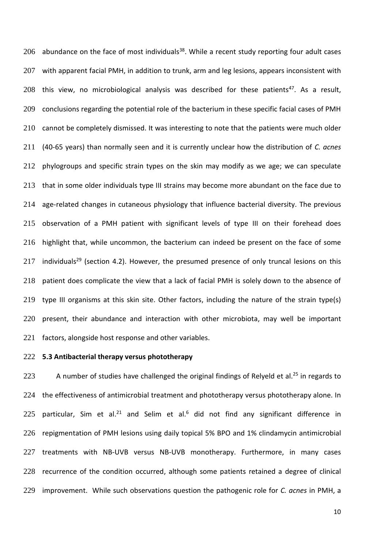abundance on the face of most individuals<sup>38</sup>. While a recent study reporting four adult cases 207 with apparent facial PMH, in addition to trunk, arm and leg lesions, appears inconsistent with 208 this view, no microbiological analysis was described for these patients<sup>47</sup>. As a result, conclusions regarding the potential role of the bacterium in these specific facial cases of PMH 210 cannot be completely dismissed. It was interesting to note that the patients were much older (40-65 years) than normally seen and it is currently unclear how the distribution of *C. acnes*  phylogroups and specific strain types on the skin may modify as we age; we can speculate that in some older individuals type III strains may become more abundant on the face due to age-related changes in cutaneous physiology that influence bacterial diversity. The previous observation of a PMH patient with significant levels of type III on their forehead does highlight that, while uncommon, the bacterium can indeed be present on the face of some 217 individuals<sup>29</sup> (section 4.2). However, the presumed presence of only truncal lesions on this patient does complicate the view that a lack of facial PMH is solely down to the absence of type III organisms at this skin site. Other factors, including the nature of the strain type(s) present, their abundance and interaction with other microbiota, may well be important factors, alongside host response and other variables.

# **5.3 Antibacterial therapy versus phototherapy**

223 A number of studies have challenged the original findings of Relyeld et al.<sup>25</sup> in regards to 224 the effectiveness of antimicrobial treatment and phototherapy versus phototherapy alone. In 225 particular, Sim et al.<sup>21</sup> and Selim et al.<sup>6</sup> did not find any significant difference in repigmentation of PMH lesions using daily topical 5% BPO and 1% clindamycin antimicrobial 227 treatments with NB-UVB versus NB-UVB monotherapy. Furthermore, in many cases recurrence of the condition occurred, although some patients retained a degree of clinical improvement. While such observations question the pathogenic role for *C. acnes* in PMH, a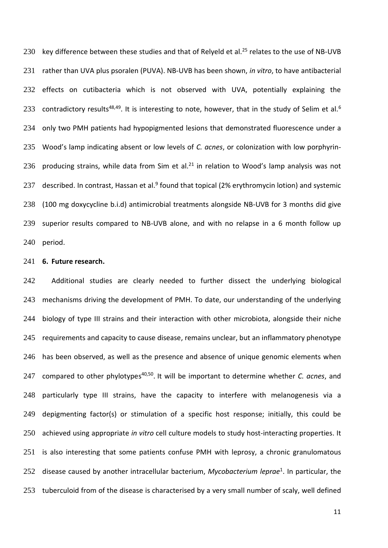230 key difference between these studies and that of Relyeld et al.<sup>25</sup> relates to the use of NB-UVB 231 rather than UVA plus psoralen (PUVA). NB-UVB has been shown, *in vitro*, to have antibacterial 232 effects on cutibacteria which is not observed with UVA, potentially explaining the 233 contradictory results<sup>48,49</sup>. It is interesting to note, however, that in the study of Selim et al.<sup>6</sup> 234 only two PMH patients had hypopigmented lesions that demonstrated fluorescence under a 235 Wood's lamp indicating absent or low levels of *C. acnes*, or colonization with low porphyrin-236 producing strains, while data from Sim et al.<sup>21</sup> in relation to Wood's lamp analysis was not 237 described. In contrast, Hassan et al.<sup>9</sup> found that topical (2% erythromycin lotion) and systemic 238 (100 mg doxycycline b.i.d) antimicrobial treatments alongside NB-UVB for 3 months did give 239 superior results compared to NB-UVB alone, and with no relapse in a 6 month follow up 240 period.

# 241 **6. Future research.**

242 Additional studies are clearly needed to further dissect the underlying biological 243 mechanisms driving the development of PMH. To date, our understanding of the underlying 244 biology of type III strains and their interaction with other microbiota, alongside their niche 245 requirements and capacity to cause disease, remains unclear, but an inflammatory phenotype 246 has been observed, as well as the presence and absence of unique genomic elements when 247 compared to other phylotypes<sup>40,50</sup>. It will be important to determine whether *C. acnes*, and 248 particularly type III strains, have the capacity to interfere with melanogenesis via a 249 depigmenting factor(s) or stimulation of a specific host response; initially, this could be 250 achieved using appropriate *in vitro* cell culture models to study host-interacting properties. It 251 is also interesting that some patients confuse PMH with leprosy, a chronic granulomatous 252 disease caused by another intracellular bacterium, *Mycobacterium leprae*<sup>1</sup>. In particular, the 253 tuberculoid from of the disease is characterised by a very small number of scaly, well defined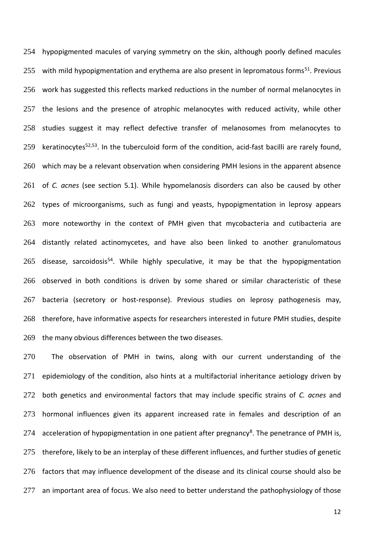hypopigmented macules of varying symmetry on the skin, although poorly defined macules 255 with mild hypopigmentation and erythema are also present in lepromatous forms<sup>51</sup>. Previous work has suggested this reflects marked reductions in the number of normal melanocytes in 257 the lesions and the presence of atrophic melanocytes with reduced activity, while other studies suggest it may reflect defective transfer of melanosomes from melanocytes to 259 keratinocytes<sup>52,53</sup>. In the tuberculoid form of the condition, acid-fast bacilli are rarely found, which may be a relevant observation when considering PMH lesions in the apparent absence of *C. acnes* (see section 5.1). While hypomelanosis disorders can also be caused by other types of microorganisms, such as fungi and yeasts, hypopigmentation in leprosy appears more noteworthy in the context of PMH given that mycobacteria and cutibacteria are distantly related actinomycetes, and have also been linked to another granulomatous 265 disease, sarcoidosis<sup>54</sup>. While highly speculative, it may be that the hypopigmentation observed in both conditions is driven by some shared or similar characteristic of these bacteria (secretory or host-response). Previous studies on leprosy pathogenesis may, therefore, have informative aspects for researchers interested in future PMH studies, despite the many obvious differences between the two diseases.

270 The observation of PMH in twins, along with our current understanding of the 271 epidemiology of the condition, also hints at a multifactorial inheritance aetiology driven by both genetics and environmental factors that may include specific strains of *C. acnes* and hormonal influences given its apparent increased rate in females and description of an 274 acceleration of hypopigmentation in one patient after pregnancy<sup>8</sup>. The penetrance of PMH is, 275 therefore, likely to be an interplay of these different influences, and further studies of genetic factors that may influence development of the disease and its clinical course should also be 277 an important area of focus. We also need to better understand the pathophysiology of those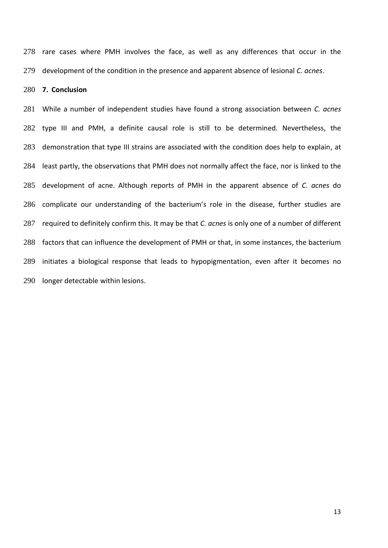rare cases where PMH involves the face, as well as any differences that occur in the development of the condition in the presence and apparent absence of lesional *C. acnes*.

## **7. Conclusion**

 While a number of independent studies have found a strong association between *C. acnes* type III and PMH, a definite causal role is still to be determined. Nevertheless, the demonstration that type III strains are associated with the condition does help to explain, at least partly, the observations that PMH does not normally affect the face, nor is linked to the development of acne. Although reports of PMH in the apparent absence of *C. acnes* do complicate our understanding of the bacterium's role in the disease, further studies are required to definitely confirm this. It may be that *C. acnes* is only one of a number of different factors that can influence the development of PMH or that, in some instances, the bacterium initiates a biological response that leads to hypopigmentation, even after it becomes no longer detectable within lesions.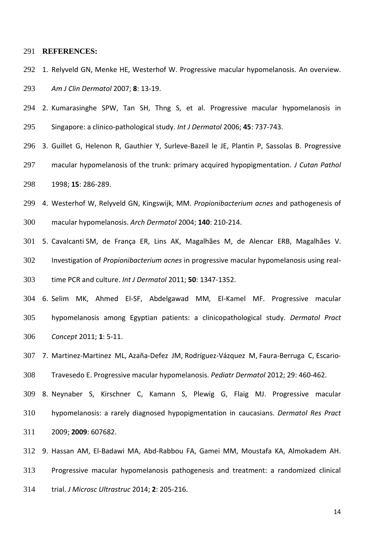### **REFERENCES:**

- 1. Relyveld GN, Menke HE, Westerhof W. Progressive macular hypomelanosis. An overview. *Am J Clin Dermatol* 2007; **8**: 13-19.
- 2. Kumarasinghe SPW, Tan SH, Thng S, et al. Progressive macular hypomelanosis in Singapore: a clinico-pathological study. *Int J Dermatol* 2006; **45**: 737-743.
- 3. Guillet G, Helenon R, Gauthier Y, Surleve-Bazeil le JE, [Plantin P,](https://www.ncbi.nlm.nih.gov/pubmed/?term=Plantin%20P%5BAuthor%5D&cauthor=true&cauthor_uid=3209765) [Sassolas B.](https://www.ncbi.nlm.nih.gov/pubmed/?term=Sassolas%20B%5BAuthor%5D&cauthor=true&cauthor_uid=3209765) Progressive macular hypomelanosis of the trunk: primary acquired hypopigmentation. *J Cutan Pathol* 1998; **15**: 286-289.
- 4. Westerhof W, Relyveld GN, Kingswijk, MM. *Propionibacterium acnes* and pathogenesis of macular hypomelanosis. *Arch Dermatol* 2004; **140**: 210-214.
- 5. Cavalcanti SM, de França ER, Lins AK, Magalhães M, de Alencar ERB, Magalhães V. Investigation of *Propionibacterium acnes* in progressive macular hypomelanosis using real-time PCR and culture. *Int J Dermatol* 2011; **50**: 1347-1352.
- 6. Selim MK, Ahmed El-SF, Abdelgawad MM, El-Kamel MF. Progressive macular hypomelanosis among Egyptian patients: a clinicopathological study. *Dermatol Pract Concept* 2011; **1**: 5-11.
- 7. Martinez-Martinez ML, [Azaña-Defez JM,](https://www.ncbi.nlm.nih.gov/pubmed/?term=Aza%C3%B1a-Defez%20JM%5BAuthor%5D&cauthor=true&cauthor_uid=21995551) [Rodríguez-Vázquez M,](https://www.ncbi.nlm.nih.gov/pubmed/?term=Rodr%C3%ADguez-V%C3%A1zquez%20M%5BAuthor%5D&cauthor=true&cauthor_uid=21995551) [Faura-Berruga C,](https://www.ncbi.nlm.nih.gov/pubmed/?term=Faura-Berruga%20C%5BAuthor%5D&cauthor=true&cauthor_uid=21995551) [Escario-](https://www.ncbi.nlm.nih.gov/pubmed/?term=Escario-Travesedo%20E%5BAuthor%5D&cauthor=true&cauthor_uid=21995551) [Travesedo E.](https://www.ncbi.nlm.nih.gov/pubmed/?term=Escario-Travesedo%20E%5BAuthor%5D&cauthor=true&cauthor_uid=21995551) Progressive macular hypomelanosis. *Pediatr Dermatol* 2012; 29: 460-462. 8. Neynaber S, Kirschner C, Kamann S, Plewig G, Flaig MJ. Progressive macular
- hypomelanosis: a rarely diagnosed hypopigmentation in caucasians. *Dermatol Res Pract* 2009; **2009**: 607682.
- 9. Hassan AM, El-Badawi MA, Abd-Rabbou FA, Gamei MM, Moustafa KA, Almokadem AH. Progressive macular hypomelanosis pathogenesis and treatment: a randomized clinical trial. *J Microsc Ultrastruc* 2014; **2**: 205-216.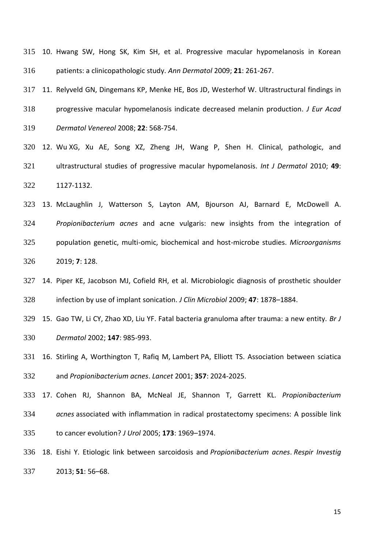10. Hwang SW, Hong SK, Kim SH, et al. Progressive macular hypomelanosis in Korean patients: a clinicopathologic study. *Ann Dermatol* 2009; **21**: 261-267.

 11. Relyveld GN, Dingemans KP, Menke HE, Bos JD, Westerhof W. Ultrastructural findings in progressive macular hypomelanosis indicate decreased melanin production. *J Eur Acad Dermatol Venereol* 2008; **22**: 568-754.

 12. Wu XG, Xu AE, Song XZ, Zheng JH, Wang P, Shen H. Clinical, pathologic, and ultrastructural studies of progressive macular hypomelanosis. *Int J Dermatol* 2010; **49**: 1127-1132.

 13. McLaughlin J, Watterson S, Layton AM, Bjourson AJ, Barnard E, McDowell A. *Propionibacterium acnes* and acne vulgaris: new insights from the integration of population genetic, multi-omic, biochemical and host-microbe studies. *Microorganisms*  2019; **7**: 128.

 14. Piper KE, Jacobson MJ, Cofield RH, et al. Microbiologic diagnosis of prosthetic shoulder infection by use of implant sonication. *J Clin Microbiol* 2009; **47**: 1878–1884.

 15. Gao TW, Li CY, Zhao XD, Liu YF. Fatal bacteria granuloma after trauma: a new entity. *Br J Dermatol* 2002; **147**: 985-993.

 16. Stirling A, Worthington T, Rafiq M, Lambert PA, Elliott TS. Association between sciatica and *Propionibacterium acnes*. *Lancet* 2001; **357**: 2024-2025.

 17. Cohen RJ, Shannon BA, McNeal JE, Shannon T, Garrett KL. *Propionibacterium acnes* associated with inflammation in radical prostatectomy specimens: A possible link to cancer evolution? *J Urol* 2005; **173**: 1969–1974.

 18. Eishi Y. Etiologic link between sarcoidosis and *Propionibacterium acnes*. *Respir Investig* 2013; **51**: 56–68.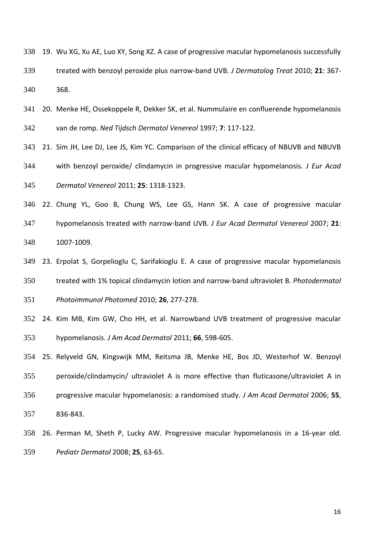19. Wu XG, Xu AE, Luo XY, Song XZ. A case of progressive macular hypomelanosis successfully treated with benzoyl peroxide plus narrow-band UVB. *J Dermatolog Treat* 2010; **21**: 367- 368.

 20. Menke HE, Ossekoppele R, Dekker SK, et al. Nummulaire en confluerende hypomelanosis van de romp. *Ned Tijdsch Dermatol Venereol* 1997; **7**: 117-122.

21. Sim JH, Lee DJ, Lee JS, Kim YC. Comparison of the clinical efficacy of NBUVB and NBUVB

 with benzoyl peroxide/ clindamycin in progressive macular hypomelanosis. *J Eur Acad Dermatol Venereol* 2011; **25**: 1318-1323.

 22. Chung YL, Goo B, Chung WS, Lee GS, Hann SK. A case of progressive macular hypomelanosis treated with narrow-band UVB. *J Eur Acad Dermatol Venereol* 2007; **21**: 1007-1009.

 23. Erpolat S, Gorpelioglu C, Sarifakioglu E. A case of progressive macular hypomelanosis treated with 1% topical clindamycin lotion and narrow-band ultraviolet B. *Photodermatol Photoimmunol Photomed* 2010; **26**, 277-278.

 24. Kim MB, Kim GW, Cho HH, et al. Narrowband UVB treatment of progressive macular hypomelanosis. *J Am Acad Dermatol* 2011; **66**, 598-605.

 25. Relyveld GN, Kingswijk MM, Reitsma JB, Menke HE, Bos JD, Westerhof W. Benzoyl peroxide/clindamycin/ ultraviolet A is more effective than fluticasone/ultraviolet A in progressive macular hypomelanosis: a randomised study. *J Am Acad Dermatol* 2006; **55**, 836-843.

 26. Perman M, Sheth P, Lucky AW. Progressive macular hypomelanosis in a 16-year old. *Pediatr Dermatol* 2008; **25**, 63-65.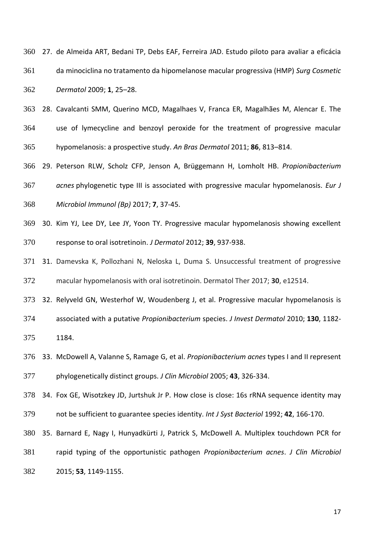|     | 360 27. de Almeida ART, Bedani TP, Debs EAF, Ferreira JAD. Estudo piloto para avaliar a eficácia |
|-----|--------------------------------------------------------------------------------------------------|
| 361 | da minociclina no tratamento da hipomelanose macular progressiva (HMP) Surg Cosmetic             |
| 362 | Dermatol 2009; 1, 25-28.                                                                         |

 28. Cavalcanti SMM, Querino MCD, Magalhaes V, Franca ER, [Magalhães M,](https://www.ncbi.nlm.nih.gov/pubmed/?term=Magalh%C3%A3es%20M%5BAuthor%5D&cauthor=true&cauthor_uid=21987158) [Alencar E.](https://www.ncbi.nlm.nih.gov/pubmed/?term=Alencar%20E%5BAuthor%5D&cauthor=true&cauthor_uid=21987158) The use of lymecycline and benzoyl peroxide for the treatment of progressive macular hypomelanosis: a prospective study. *An Bras Dermatol* 2011; **86**, 813–814.

 29. Peterson RLW, Scholz CFP, Jenson A, Brüggemann H, Lomholt HB. *Propionibacterium acnes* phylogenetic type III is associated with progressive macular hypomelanosis. *Eur J Microbiol Immunol (Bp)* 2017; **7**, 37-45.

 30. Kim YJ, Lee DY, Lee JY, Yoon TY. Progressive macular hypomelanosis showing excellent response to oral isotretinoin. *J Dermatol* 2012; **39**, 937-938.

 31. Damevska K, Pollozhani N, Neloska L, Duma S. Unsuccessful treatment of progressive macular hypomelanosis with oral isotretinoin. Dermatol Ther 2017; **30**, e12514.

32. Relyveld GN, Westerhof W, Woudenberg J, et al. Progressive macular hypomelanosis is

 associated with a putative *Propionibacterium* species. *J Invest Dermatol* 2010; **130**, 1182- 1184.

 33. McDowell A, Valanne S, Ramage G, et al. *Propionibacterium acnes* types I and II represent phylogenetically distinct groups. *J Clin Microbiol* 2005; **43**, 326-334.

34. Fox GE, Wisotzkey JD, Jurtshuk Jr P. How close is close: 16s rRNA sequence identity may

not be sufficient to guarantee species identity. *Int J Syst Bacteriol* 1992; **42**, 166-170.

35. Barnard E, Nagy I, Hunyadkürti J, Patrick S, McDowell A. Multiplex touchdown PCR for

 rapid typing of the opportunistic pathogen *Propionibacterium acnes*. *J Clin Microbiol* 2015; **53**, 1149-1155.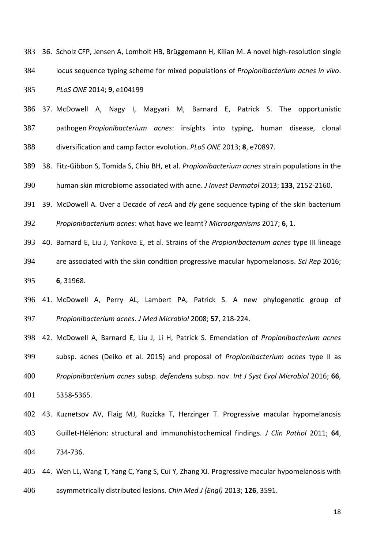36. Scholz CFP, Jensen A, Lomholt HB, Brüggemann H, Kilian M. A novel high-resolution single locus sequence typing scheme for mixed populations of *Propionibacterium acnes in vivo*. *PLoS ONE* 2014; **9**, e104199

 37. McDowell A, Nagy I, Magyari M, Barnard E, Patrick S. The opportunistic pathogen *Propionibacterium acnes*: insights into typing, human disease, clonal diversification and camp factor evolution. *PLoS ONE* 2013; **8**, e70897.

 38. Fitz-Gibbon S, Tomida S, Chiu BH, et al. *Propionibacterium acnes* strain populations in the human skin microbiome associated with acne. *J Invest Dermatol* 2013; **133**, 2152-2160.

39. McDowell A. Over a Decade of *recA* and *tly* gene sequence typing of the skin bacterium

*Propionibacterium acnes*: what have we learnt? *Microorganisms* 2017; **6**, 1.

 40. Barnard E, Liu J, Yankova E, et al. Strains of the *Propionibacterium acnes* type III lineage are associated with the skin condition progressive macular hypomelanosis. *Sci Rep* 2016; **6**, 31968.

 41. McDowell A, Perry AL, Lambert PA, Patrick S. A new phylogenetic group of *Propionibacterium acnes*. *J Med Microbiol* 2008; **57**, 218-224.

 42. McDowell A, Barnard E, Liu J, Li H, Patrick S. Emendation of *Propionibacterium acnes* subsp. acnes (Deiko et al. 2015) and proposal of *Propionibacterium acnes* type II as *Propionibacterium acnes* subsp. *defendens* subsp. nov. *Int J Syst Evol Microbiol* 2016; **66**, 5358-5365.

 43. Kuznetsov AV, Flaig MJ, Ruzicka T, Herzinger T. Progressive macular hypomelanosis Guillet-Hélénon: structural and immunohistochemical findings. *J Clin Pathol* 2011; **64**, 734-736.

 44. Wen LL, Wang T, Yang C, Yang S, Cui Y, Zhang XJ. Progressive macular hypomelanosis with asymmetrically distributed lesions. *Chin Med J (Engl)* 2013; **126**, 3591.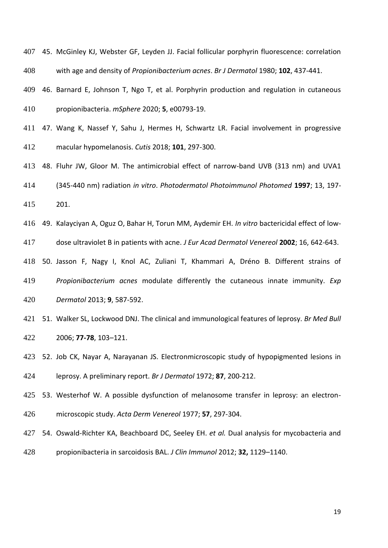45. McGinley KJ, Webster GF, Leyden JJ. Facial follicular porphyrin fluorescence: correlation with age and density of *Propionibacterium acnes*. *Br J Dermatol* 1980; **102**, 437-441.

 46. Barnard E, Johnson T, Ngo T, et al. Porphyrin production and regulation in cutaneous propionibacteria. *mSphere* 2020; **5**, e00793-19.

 47. Wang K, Nassef Y, Sahu J, Hermes H, Schwartz LR. Facial involvement in progressive macular hypomelanosis. *Cutis* 2018; **101**, 297-300.

48. Fluhr JW, Gloor M. The antimicrobial effect of narrow-band UVB (313 nm) and UVA1

 (345-440 nm) radiation *in vitro*. *Photodermatol Photoimmunol Photomed* **1997**; 13, 197- 201.

49. Kalayciyan A, Oguz O, Bahar H, Torun MM, Aydemir EH. *In vitro* bactericidal effect of low-

dose ultraviolet B in patients with acne. *J Eur Acad Dermatol Venereol* **2002**; 16, 642-643.

 50. [Jasson](https://www.ncbi.nlm.nih.gov/pubmed/?term=Jasson%20F%5BAuthor%5D&cauthor=true&cauthor_uid=23947673) F, [Nagy I,](https://www.ncbi.nlm.nih.gov/pubmed/?term=Nagy%20I%5BAuthor%5D&cauthor=true&cauthor_uid=23947673) [Knol AC,](https://www.ncbi.nlm.nih.gov/pubmed/?term=Knol%20AC%5BAuthor%5D&cauthor=true&cauthor_uid=23947673) [Zuliani T,](https://www.ncbi.nlm.nih.gov/pubmed/?term=Zuliani%20T%5BAuthor%5D&cauthor=true&cauthor_uid=23947673) [Khammari A,](https://www.ncbi.nlm.nih.gov/pubmed/?term=Khammari%20A%5BAuthor%5D&cauthor=true&cauthor_uid=23947673) [Dréno B.](https://www.ncbi.nlm.nih.gov/pubmed/?term=Dr%C3%A9no%20B%5BAuthor%5D&cauthor=true&cauthor_uid=23947673) Different strains of *Propionibacterium acnes* modulate differently the cutaneous innate immunity. *[Exp](https://www.ncbi.nlm.nih.gov/pubmed/?term=acnes+Jasson)  [Dermatol](https://www.ncbi.nlm.nih.gov/pubmed/?term=acnes+Jasson)* 2013; **9**, 587-592.

 51. Walker SL, Lockwood DNJ. The clinical and immunological features of leprosy. *Br Med Bull* 2006; **77-78**, 103–121.

 52. Job CK, Nayar A, Narayanan JS. Electronmicroscopic study of hypopigmented lesions in leprosy. A preliminary report. *Br J Dermatol* 1972; **87**, 200-212.

 53. Westerhof W. A possible dysfunction of melanosome transfer in leprosy: an electron-microscopic study. *Acta Derm Venereol* 1977; **57**, 297‐304.

 54. Oswald-Richter KA, Beachboard DC, Seeley EH. *et al.* Dual analysis for mycobacteria and propionibacteria in sarcoidosis BAL. *J Clin Immunol* 2012; **32,** 1129–1140.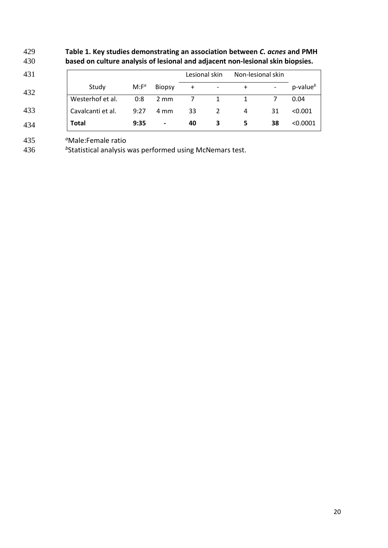# 429 **Table 1. Key studies demonstrating an association between** *C. acnes* **and PMH**  430 **based on culture analysis of lesional and adjacent non-lesional skin biopsies.**

| 431 |                   |          |                          | Lesional skin |                          | Non-lesional skin |    |                 |
|-----|-------------------|----------|--------------------------|---------------|--------------------------|-------------------|----|-----------------|
| 432 | Study             | $M: F^a$ | <b>Biopsy</b>            | $\ddot{}$     | $\overline{\phantom{a}}$ |                   |    | $p$ -value $^b$ |
|     | Westerhof et al.  | 0:8      | $2 \text{ mm}$           |               | 1                        |                   |    | 0.04            |
| 433 | Cavalcanti et al. | 9:27     | 4 mm                     | 33            |                          | 4                 | 31 | < 0.001         |
| 434 | <b>Total</b>      | 9:35     | $\overline{\phantom{a}}$ | 40            | 3                        | 5                 | 38 | < 0.0001        |

435 *<sup>a</sup>*Male:Female ratio

436 bStatistical analysis was performed using McNemars test.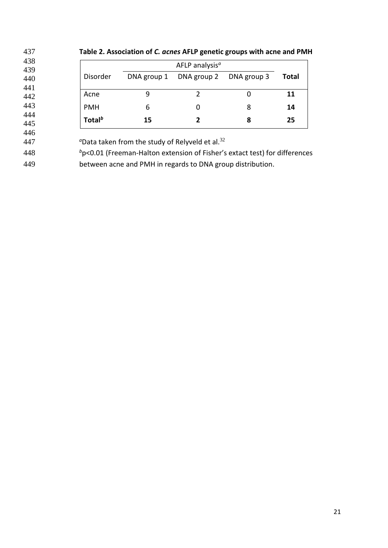| AFLP analysis <sup>a</sup>                         |             |                                                                               |             |       |  |  |  |  |
|----------------------------------------------------|-------------|-------------------------------------------------------------------------------|-------------|-------|--|--|--|--|
| Disorder                                           | DNA group 1 | DNA group 2                                                                   | DNA group 3 | Total |  |  |  |  |
| Acne                                               | 9           |                                                                               | 0           | 11    |  |  |  |  |
| <b>PMH</b>                                         | 6           | 0                                                                             | 8           | 14    |  |  |  |  |
| Total <sup>b</sup>                                 | 15          | 2                                                                             | 8           | 25    |  |  |  |  |
|                                                    |             |                                                                               |             |       |  |  |  |  |
| "Data taken from the study of Relyveld et al. $32$ |             |                                                                               |             |       |  |  |  |  |
|                                                    |             | $b$ p<0.01 (Freeman-Halton extension of Fisher's extact test) for differences |             |       |  |  |  |  |

448 **b**  $b$   $\sim$  0.01 (Freeman-Halton extension of Fisher's extact test) for differences between acne and PMH in regards to DNA group distribution.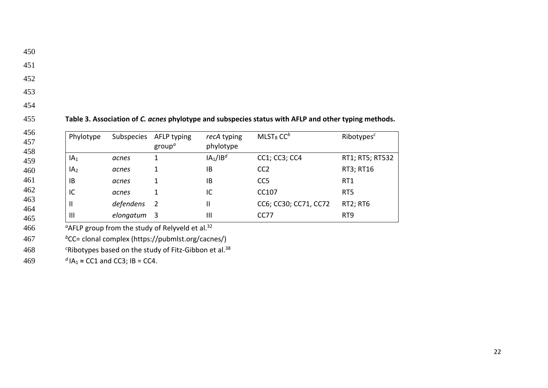450

- 451
- 452
- 453
- 454

455 **Table 3. Association of** *C. acnes* **phylotype and subspecies status with AFLP and other typing methods.** 

| 456<br>457<br>458 | Phylotype       | Subspecies | AFLP typing<br>$group^{\alpha}$ | recA typing<br>phylotype         | $MLST_8$ CC <sup>b</sup> | Ribotypes $c$   |
|-------------------|-----------------|------------|---------------------------------|----------------------------------|--------------------------|-----------------|
| 459               | IA <sub>1</sub> | acnes      |                                 | IA <sub>1</sub> /IB <sup>d</sup> | CC1; CC3; CC4            | RT1; RT5; RT532 |
| 460               | IA <sub>2</sub> | acnes      |                                 | IB                               | CC <sub>2</sub>          | RT3; RT16       |
| 461               | 1B              | acnes      | 1                               | IB                               | CC <sub>5</sub>          | RT1             |
| 462               | IC              | acnes      |                                 | IC                               | CC107                    | RT <sub>5</sub> |
| 463<br>464        | H               | defendens  | 2                               | Ш                                | CC6; CC30; CC71, CC72    | <b>RT2; RT6</b> |
| 465               | $\mathbf{III}$  | elongatum  | -3                              | Ш                                | CC77                     | RT <sub>9</sub> |

<sup>a</sup>AFLP group from the study of Relyveld et al.<sup>32</sup>

467 bCC= clonal complex (https://pubmlst.org/cacnes/)

*<sup>c</sup>*Ribotypes based on the study of Fitz-Gibbon et al.<sup>38</sup> 468

469  $dA_1 = CC1$  and CC3; IB = CC4.